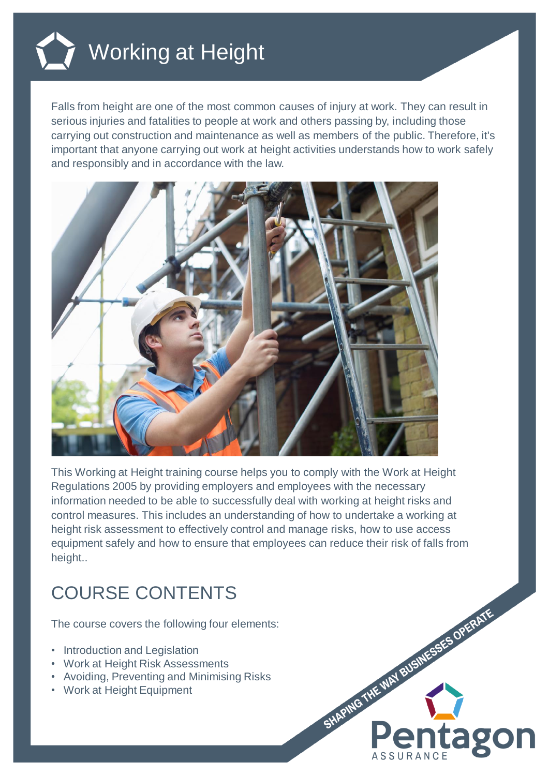

## Working at Height

Falls from height are one of the most common causes of injury at work. They can result in serious injuries and fatalities to people at work and others passing by, including those carrying out construction and maintenance as well as members of the public. Therefore, it's important that anyone carrying out work at height activities understands how to work safely and responsibly and in accordance with the law.



This Working at Height training course helps you to comply with the Work at Height Regulations 2005 by providing employers and employees with the necessary information needed to be able to successfully deal with working at height risks and control measures. This includes an understanding of how to undertake a working at height risk assessment to effectively control and manage risks, how to use access equipment safely and how to ensure that employees can reduce their risk of falls from height..

## COURSE CONTENTS

The course covers the following four elements:

- Introduction and Legislation
- Work at Height Risk Assessments
- Avoiding, Preventing and Minimising Risks
- Work at Height Equipment